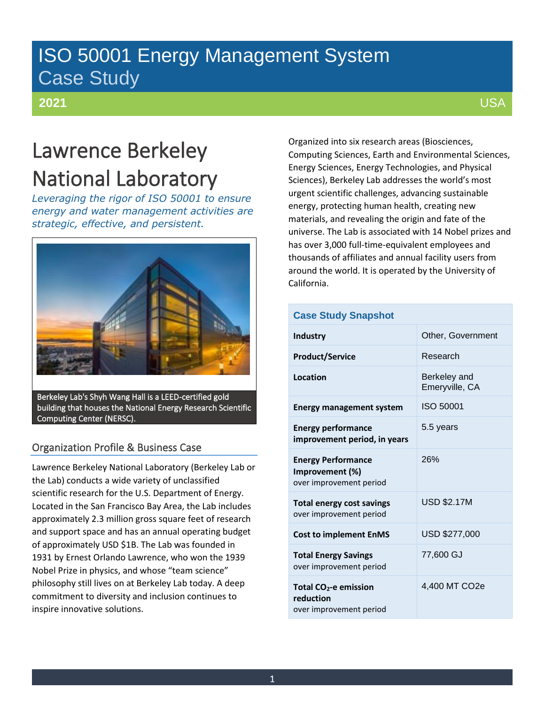## ISO 50001 Energy Management System Case Study

### **2021**

USA

# Lawrence Berkeley National Laboratory

*Leveraging the rigor of ISO 50001 to ensure energy and water management activities are strategic, effective, and persistent.*



Berkeley Lab's Shyh Wang Hall is a LEED-certified gold building that houses the National Energy Research Scientific Computing Center (NERSC).

### Organization Profile & Business Case

Lawrence Berkeley National Laboratory (Berkeley Lab or the Lab) conducts a wide variety of unclassified scientific research for the U.S. Department of Energy. Located in the San Francisco Bay Area, the Lab includes approximately 2.3 million gross square feet of research and support space and has an annual operating budget of approximately USD \$1B. The Lab was founded in 1931 by Ernest Orlando Lawrence, who won the 1939 Nobel Prize in physics, and whose "team science" philosophy still lives on at Berkeley Lab today. A deep commitment to diversity and inclusion continues to inspire innovative solutions.

Organized into six research areas (Biosciences, Computing Sciences, Earth and Environmental Sciences, Energy Sciences, Energy Technologies, and Physical Sciences), Berkeley Lab addresses the world's most urgent scientific challenges, advancing sustainable energy, protecting human health, creating new materials, and revealing the origin and fate of the universe. The Lab is associated with 14 Nobel prizes and has over 3,000 full-time-equivalent employees and thousands of affiliates and annual facility users from around the world. It is operated by the University of California.

| <b>Case Study Snapshot</b>                                              |                                |
|-------------------------------------------------------------------------|--------------------------------|
| <b>Industry</b>                                                         | Other, Government              |
| <b>Product/Service</b>                                                  | Research                       |
| Location                                                                | Berkeley and<br>Emeryville, CA |
| <b>Energy management system</b>                                         | ISO 50001                      |
| <b>Energy performance</b><br>improvement period, in years               | 5.5 years                      |
| <b>Energy Performance</b><br>Improvement (%)<br>over improvement period | 26%                            |
| <b>Total energy cost savings</b><br>over improvement period             | <b>USD \$2.17M</b>             |
| <b>Cost to implement EnMS</b>                                           | USD \$277,000                  |
| <b>Total Energy Savings</b><br>over improvement period                  | 77,600 GJ                      |
| Total $CO2$ -e emission<br>reduction<br>over improvement period         | 4,400 MT CO2e                  |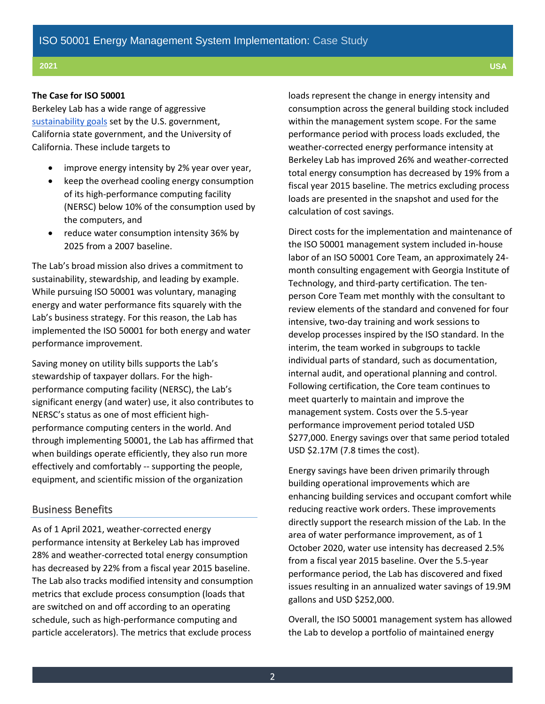#### **The Case for ISO 50001**

Berkeley Lab has a wide range of aggressive [sustainability goals](https://docs.google.com/spreadsheets/d/1oQw9BWOYrSySH-NQ4LJiy2Xryd5_3CFwnFVC4pKzEPw/edit#gid=1376301969) set by the U.S. government, California state government, and the University of California. These include targets to

- improve energy intensity by 2% year over year,
- keep the overhead cooling energy consumption of its high-performance computing facility (NERSC) below 10% of the consumption used by the computers, and
- reduce water consumption intensity 36% by 2025 from a 2007 baseline.

The Lab's broad mission also drives a commitment to sustainability, stewardship, and leading by example. While pursuing ISO 50001 was voluntary, managing energy and water performance fits squarely with the Lab's business strategy. For this reason, the Lab has implemented the ISO 50001 for both energy and water performance improvement.

Saving money on utility bills supports the Lab's stewardship of taxpayer dollars. For the highperformance computing facility (NERSC), the Lab's significant energy (and water) use, it also contributes to NERSC's status as one of most efficient highperformance computing centers in the world. And through implementing 50001, the Lab has affirmed that when buildings operate efficiently, they also run more effectively and comfortably -- supporting the people, equipment, and scientific mission of the organization

#### Business Benefits

As of 1 April 2021, weather-corrected energy performance intensity at Berkeley Lab has improved 28% and weather-corrected total energy consumption has decreased by 22% from a fiscal year 2015 baseline. The Lab also tracks modified intensity and consumption metrics that exclude process consumption (loads that are switched on and off according to an operating schedule, such as high-performance computing and particle accelerators). The metrics that exclude process

loads represent the change in energy intensity and consumption across the general building stock included within the management system scope. For the same performance period with process loads excluded, the weather-corrected energy performance intensity at Berkeley Lab has improved 26% and weather-corrected total energy consumption has decreased by 19% from a fiscal year 2015 baseline. The metrics excluding process loads are presented in the snapshot and used for the calculation of cost savings.

Direct costs for the implementation and maintenance of the ISO 50001 management system included in-house labor of an ISO 50001 Core Team, an approximately 24 month consulting engagement with Georgia Institute of Technology, and third-party certification. The tenperson Core Team met monthly with the consultant to review elements of the standard and convened for four intensive, two-day training and work sessions to develop processes inspired by the ISO standard. In the interim, the team worked in subgroups to tackle individual parts of standard, such as documentation, internal audit, and operational planning and control. Following certification, the Core team continues to meet quarterly to maintain and improve the management system. Costs over the 5.5-year performance improvement period totaled USD \$277,000. Energy savings over that same period totaled USD \$2.17M (7.8 times the cost).

Energy savings have been driven primarily through building operational improvements which are enhancing building services and occupant comfort while reducing reactive work orders. These improvements directly support the research mission of the Lab. In the area of water performance improvement, as of 1 October 2020, water use intensity has decreased 2.5% from a fiscal year 2015 baseline. Over the 5.5-year performance period, the Lab has discovered and fixed issues resulting in an annualized water savings of 19.9M gallons and USD \$252,000.

Overall, the ISO 50001 management system has allowed the Lab to develop a portfolio of maintained energy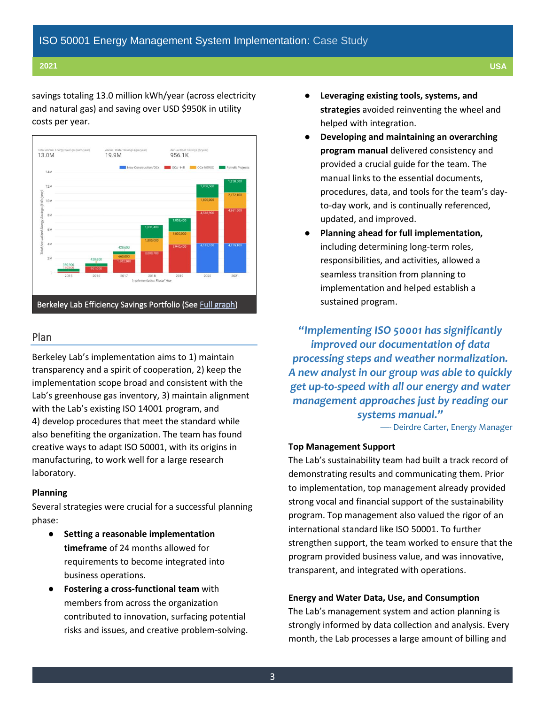savings totaling 13.0 million kWh/year (across electricity and natural gas) and saving over USD \$950K in utility costs per year.



### Plan

Berkeley Lab's implementation aims to 1) maintain transparency and a spirit of cooperation, 2) keep the implementation scope broad and consistent with the Lab's greenhouse gas inventory, 3) maintain alignment with the Lab's existing ISO 14001 program, and 4) develop procedures that meet the standard while also benefiting the organization. The team has found creative ways to adapt ISO 50001, with its origins in manufacturing, to work well for a large research laboratory.

#### **Planning**

Several strategies were crucial for a successful planning phase:

- **Setting a reasonable implementation timeframe** of 24 months allowed for requirements to become integrated into business operations.
- **Fostering a cross-functional team** with members from across the organization contributed to innovation, surfacing potential risks and issues, and creative problem-solving.
- **Leveraging existing tools, systems, and strategies** avoided reinventing the wheel and helped with integration.
- **Developing and maintaining an overarching program manual** delivered consistency and provided a crucial guide for the team. The manual links to the essential documents, procedures, data, and tools for the team's dayto-day work, and is continually referenced, updated, and improved.
- **Planning ahead for full implementation,** including determining long-term roles, responsibilities, and activities, allowed a seamless transition from planning to implementation and helped establish a sustained program.

*"Implementing ISO 50001 has significantly improved our documentation of data processing steps and weather normalization. A new analyst in our group was able to quickly get up-to-speed with all our energy and water management approaches just by reading our systems manual."*

—- Deirdre Carter, Energy Manager

#### **Top Management Support**

The Lab's sustainability team had built a track record of demonstrating results and communicating them. Prior to implementation, top management already provided strong vocal and financial support of the sustainability program. Top management also valued the rigor of an international standard like ISO 50001. To further strengthen support, the team worked to ensure that the program provided business value, and was innovative, transparent, and integrated with operations.

#### **Energy and Water Data, Use, and Consumption**

The Lab's management system and action planning is strongly informed by data collection and analysis. Every month, the Lab processes a large amount of billing and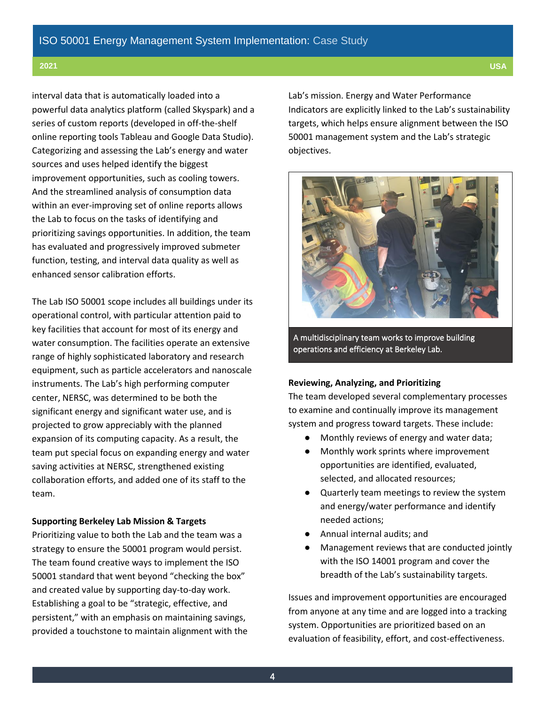interval data that is automatically loaded into a powerful data analytics platform (called Skyspark) and a series of custom reports (developed in off-the-shelf online reporting tools Tableau and Google Data Studio). Categorizing and assessing the Lab's energy and water sources and uses helped identify the biggest improvement opportunities, such as cooling towers. And the streamlined analysis of consumption data within an ever-improving set of online reports allows the Lab to focus on the tasks of identifying and prioritizing savings opportunities. In addition, the team has evaluated and progressively improved submeter function, testing, and interval data quality as well as enhanced sensor calibration efforts.

The Lab ISO 50001 scope includes all buildings under its operational control, with particular attention paid to key facilities that account for most of its energy and water consumption. The facilities operate an extensive range of highly sophisticated laboratory and research equipment, such as particle accelerators and nanoscale instruments. The Lab's high performing computer center, NERSC, was determined to be both the significant energy and significant water use, and is projected to grow appreciably with the planned expansion of its computing capacity. As a result, the team put special focus on expanding energy and water saving activities at NERSC, strengthened existing collaboration efforts, and added one of its staff to the team.

#### **Supporting Berkeley Lab Mission & Targets**

Prioritizing value to both the Lab and the team was a strategy to ensure the 50001 program would persist. The team found creative ways to implement the ISO 50001 standard that went beyond "checking the box" and created value by supporting day-to-day work. Establishing a goal to be "strategic, effective, and persistent," with an emphasis on maintaining savings, provided a touchstone to maintain alignment with the Lab's mission. Energy and Water Performance Indicators are explicitly linked to the Lab's sustainability targets, which helps ensure alignment between the ISO 50001 management system and the Lab's strategic objectives.



A multidisciplinary team works to improve building operations and efficiency at Berkeley Lab.

#### **Reviewing, Analyzing, and Prioritizing**

The team developed several complementary processes to examine and continually improve its management system and progress toward targets. These include:

- Monthly reviews of energy and water data;
- Monthly work sprints where improvement opportunities are identified, evaluated, selected, and allocated resources;
- Quarterly team meetings to review the system and energy/water performance and identify needed actions;
- Annual internal audits; and
- Management reviews that are conducted jointly with the ISO 14001 program and cover the breadth of the Lab's sustainability targets.

Issues and improvement opportunities are encouraged from anyone at any time and are logged into a tracking system. Opportunities are prioritized based on an evaluation of feasibility, effort, and cost-effectiveness.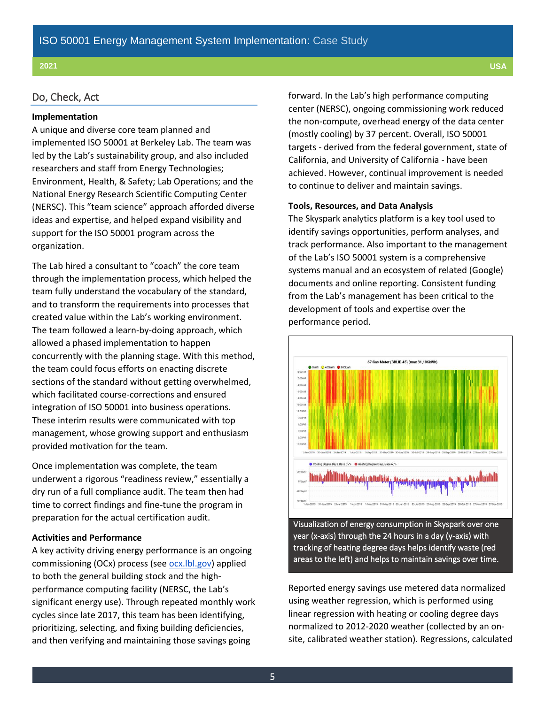#### Do, Check, Act

#### **Implementation**

A unique and diverse core team planned and implemented ISO 50001 at Berkeley Lab. The team was led by the Lab's sustainability group, and also included researchers and staff from Energy Technologies; Environment, Health, & Safety; Lab Operations; and the National Energy Research Scientific Computing Center (NERSC). This "team science" approach afforded diverse ideas and expertise, and helped expand visibility and support for the ISO 50001 program across the organization.

The Lab hired a consultant to "coach" the core team through the implementation process, which helped the team fully understand the vocabulary of the standard, and to transform the requirements into processes that created value within the Lab's working environment. The team followed a learn-by-doing approach, which allowed a phased implementation to happen concurrently with the planning stage. With this method, the team could focus efforts on enacting discrete sections of the standard without getting overwhelmed, which facilitated course-corrections and ensured integration of ISO 50001 into business operations. These interim results were communicated with top management, whose growing support and enthusiasm provided motivation for the team.

Once implementation was complete, the team underwent a rigorous "readiness review," essentially a dry run of a full compliance audit. The team then had time to correct findings and fine-tune the program in preparation for the actual certification audit.

#### **Activities and Performance**

A key activity driving energy performance is an ongoing commissioning (OCx) process (see [ocx.lbl.gov\)](http://ocx.lbl.gov/) applied to both the general building stock and the highperformance computing facility (NERSC, the Lab's significant energy use). Through repeated monthly work cycles since late 2017, this team has been identifying, prioritizing, selecting, and fixing building deficiencies, and then verifying and maintaining those savings going

forward. In the Lab's high performance computing center (NERSC), ongoing commissioning work reduced the non-compute, overhead energy of the data center (mostly cooling) by 37 percent. Overall, ISO 50001 targets - derived from the federal government, state of California, and University of California - have been achieved. However, continual improvement is needed to continue to deliver and maintain savings.

#### **Tools, Resources, and Data Analysis**

The Skyspark analytics platform is a key tool used to identify savings opportunities, perform analyses, and track performance. Also important to the management of the Lab's ISO 50001 system is a comprehensive systems manual and an ecosystem of related (Google) documents and online reporting. Consistent funding from the Lab's management has been critical to the development of tools and expertise over the performance period.



Visualization of energy consumption in Skyspark over one year (x-axis) through the 24 hours in a day (y-axis) with tracking of heating degree days helps identify waste (red areas to the left) and helps to maintain savings over time.

Reported energy savings use metered data normalized using weather regression, which is performed using linear regression with heating or cooling degree days normalized to 2012-2020 weather (collected by an onsite, calibrated weather station). Regressions, calculated